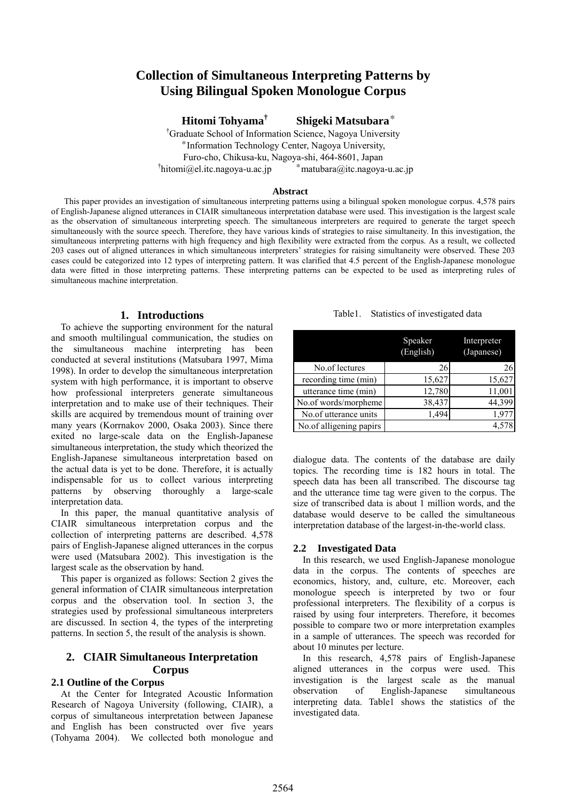# **Collection of Simultaneous Interpreting Patterns by Using Bilingual Spoken Monologue Corpus**

**Hitomi Tohyama† Shigeki Matsubara**\*

† Graduate School of Information Science, Nagoya University \*Information Technology Center, Nagoya University, Furo-cho, Chikusa-ku, Nagoya-shi, 464-8601, Japan  $'$ hitomi@el.itc.nagoya-u.ac.jp  $*$ matubara@itc.nagoya-u.ac.jp

## **Abstract**

This paper provides an investigation of simultaneous interpreting patterns using a bilingual spoken monologue corpus. 4,578 pairs of English-Japanese aligned utterances in CIAIR simultaneous interpretation database were used. This investigation is the largest scale as the observation of simultaneous interpreting speech. The simultaneous interpreters are required to generate the target speech simultaneously with the source speech. Therefore, they have various kinds of strategies to raise simultaneity. In this investigation, the simultaneous interpreting patterns with high frequency and high flexibility were extracted from the corpus. As a result, we collected 203 cases out of aligned utterances in which simultaneous interpreters' strategies for raising simultaneity were observed. These 203 cases could be categorized into 12 types of interpreting pattern. It was clarified that 4.5 percent of the English-Japanese monologue data were fitted in those interpreting patterns. These interpreting patterns can be expected to be used as interpreting rules of simultaneous machine interpretation.

# **1. Introductions**

To achieve the supporting environment for the natural and smooth multilingual communication, the studies on the simultaneous machine interpreting has been conducted at several institutions (Matsubara 1997, Mima 1998). In order to develop the simultaneous interpretation system with high performance, it is important to observe how professional interpreters generate simultaneous interpretation and to make use of their techniques. Their skills are acquired by tremendous mount of training over many years (Korrnakov 2000, Osaka 2003). Since there exited no large-scale data on the English-Japanese simultaneous interpretation, the study which theorized the English-Japanese simultaneous interpretation based on the actual data is yet to be done. Therefore, it is actually indispensable for us to collect various interpreting patterns by observing thoroughly a large-scale interpretation data.

In this paper, the manual quantitative analysis of CIAIR simultaneous interpretation corpus and the collection of interpreting patterns are described. 4,578 pairs of English-Japanese aligned utterances in the corpus were used (Matsubara 2002). This investigation is the largest scale as the observation by hand.

This paper is organized as follows: Section 2 gives the general information of CIAIR simultaneous interpretation corpus and the observation tool. In section 3, the strategies used by professional simultaneous interpreters are discussed. In section 4, the types of the interpreting patterns. In section 5, the result of the analysis is shown.

# **2. CIAIR Simultaneous Interpretation Corpus**

# **2.1 Outline of the Corpus**

At the Center for Integrated Acoustic Information Research of Nagoya University (following, CIAIR), a corpus of simultaneous interpretation between Japanese and English has been constructed over five years (Tohyama 2004). We collected both monologue and Table1. Statistics of investigated data

|                         | Speaker<br>(English) | Interpreter<br>(Japanese) |
|-------------------------|----------------------|---------------------------|
| No.of lectures          | 26                   | 26                        |
| recording time (min)    | 15,627               | 15,627                    |
| utterance time (min)    | 12,780               | 11,001                    |
| No.of words/morpheme    | 38,437               | 44,399                    |
| No.of utterance units   | 1,494                | 1,977                     |
| No.of alligening papirs |                      | 4,578                     |

dialogue data. The contents of the database are daily topics. The recording time is 182 hours in total. The speech data has been all transcribed. The discourse tag and the utterance time tag were given to the corpus. The size of transcribed data is about 1 million words, and the database would deserve to be called the simultaneous interpretation database of the largest-in-the-world class.

# **2.2 Investigated Data**

 In this research, we used English-Japanese monologue data in the corpus. The contents of speeches are economics, history, and, culture, etc. Moreover, each monologue speech is interpreted by two or four professional interpreters. The flexibility of a corpus is raised by using four interpreters. Therefore, it becomes possible to compare two or more interpretation examples in a sample of utterances. The speech was recorded for about 10 minutes per lecture.

In this research, 4,578 pairs of English-Japanese aligned utterances in the corpus were used. This investigation is the largest scale as the manual observation of English-Japanese simultaneous interpreting data. Table1 shows the statistics of the investigated data.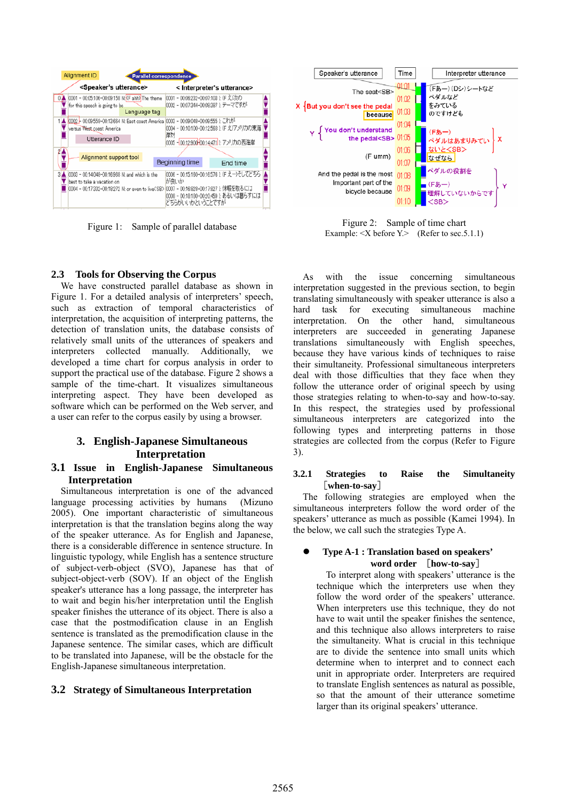

Figure 1: Sample of parallel database



Figure 2: Sample of time chart Example:  $\leq X$  before  $Y$ . (Refer to sec. 5.1.1)

# **2.3 Tools for Observing the Corpus**

We have constructed parallel database as shown in Figure 1. For a detailed analysis of interpreters' speech, such as extraction of temporal characteristics of interpretation, the acquisition of interpreting patterns, the detection of translation units, the database consists of relatively small units of the utterances of speakers and interpreters collected manually. Additionally, we developed a time chart for corpus analysis in order to support the practical use of the database. Figure 2 shows a sample of the time-chart. It visualizes simultaneous interpreting aspect. They have been developed as software which can be performed on the Web server, and a user can refer to the corpus easily by using a browser.

# **3. English-Japanese Simultaneous Interpretation**

# **3.1 Issue in English-Japanese Simultaneous Interpretation**

Simultaneous interpretation is one of the advanced language processing activities by humans (Mizuno 2005). One important characteristic of simultaneous interpretation is that the translation begins along the way of the speaker utterance. As for English and Japanese, there is a considerable difference in sentence structure. In linguistic typology, while English has a sentence structure of subject-verb-object (SVO), Japanese has that of subject-object-verb (SOV). If an object of the English speaker's utterance has a long passage, the interpreter has to wait and begin his/her interpretation until the English speaker finishes the utterance of its object. There is also a case that the postmodification clause in an English sentence is translated as the premodification clause in the Japanese sentence. The similar cases, which are difficult to be translated into Japanese, will be the obstacle for the English-Japanese simultaneous interpretation.

# **3.2 Strategy of Simultaneous Interpretation**

As with the issue concerning simultaneous interpretation suggested in the previous section, to begin translating simultaneously with speaker utterance is also a hard task for executing simultaneous machine interpretation. On the other hand, simultaneous interpreters are succeeded in generating Japanese translations simultaneously with English speeches, because they have various kinds of techniques to raise their simultaneity. Professional simultaneous interpreters deal with those difficulties that they face when they follow the utterance order of original speech by using those strategies relating to when-to-say and how-to-say. In this respect, the strategies used by professional simultaneous interpreters are categorized into the following types and interpreting patterns in those strategies are collected from the corpus (Refer to Figure 3).

# **3.2.1 Strategies to Raise the Simultaneity**  [**when-to-say**]

The following strategies are employed when the simultaneous interpreters follow the word order of the speakers' utterance as much as possible (Kamei 1994). In the below, we call such the strategies Type A.

## z **Type A-1 : Translation based on speakers' word order** [**how-to-say**]

To interpret along with speakers' utterance is the technique which the interpreters use when they follow the word order of the speakers' utterance. When interpreters use this technique, they do not have to wait until the speaker finishes the sentence, and this technique also allows interpreters to raise the simultaneity. What is crucial in this technique are to divide the sentence into small units which determine when to interpret and to connect each unit in appropriate order. Interpreters are required to translate English sentences as natural as possible, so that the amount of their utterance sometime larger than its original speakers' utterance.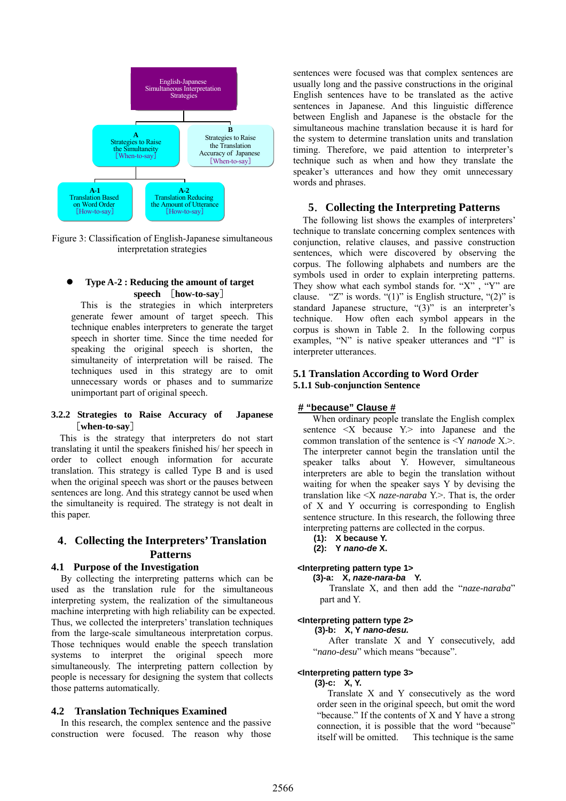

Figure 3: Classification of English-Japanese simultaneous interpretation strategies

# z **Type A-2 : Reducing the amount of target speech** [**how-to-say**]

This is the strategies in which interpreters generate fewer amount of target speech. This technique enables interpreters to generate the target speech in shorter time. Since the time needed for speaking the original speech is shorten, the simultaneity of interpretation will be raised. The techniques used in this strategy are to omit unnecessary words or phases and to summarize unimportant part of original speech.

# **3.2.2 Strategies to Raise Accuracy of Japanese** [**when-to-say**]

This is the strategy that interpreters do not start translating it until the speakers finished his/ her speech in order to collect enough information for accurate translation. This strategy is called Type B and is used when the original speech was short or the pauses between sentences are long. And this strategy cannot be used when the simultaneity is required. The strategy is not dealt in this paper.

# **4**.**Collecting the Interpreters' Translation Patterns**

# **4.1 Purpose of the Investigation**

By collecting the interpreting patterns which can be used as the translation rule for the simultaneous interpreting system, the realization of the simultaneous machine interpreting with high reliability can be expected. Thus, we collected the interpreters' translation techniques from the large-scale simultaneous interpretation corpus. Those techniques would enable the speech translation systems to interpret the original speech more simultaneously. The interpreting pattern collection by people is necessary for designing the system that collects those patterns automatically.

## **4.2 Translation Techniques Examined**

In this research, the complex sentence and the passive construction were focused. The reason why those

sentences were focused was that complex sentences are usually long and the passive constructions in the original English sentences have to be translated as the active sentences in Japanese. And this linguistic difference between English and Japanese is the obstacle for the simultaneous machine translation because it is hard for the system to determine translation units and translation timing. Therefore, we paid attention to interpreter's technique such as when and how they translate the speaker's utterances and how they omit unnecessary words and phrases.

# **5**.**Collecting the Interpreting Patterns**

The following list shows the examples of interpreters' technique to translate concerning complex sentences with conjunction, relative clauses, and passive construction sentences, which were discovered by observing the corpus. The following alphabets and numbers are the symbols used in order to explain interpreting patterns. They show what each symbol stands for. "X", "Y" are clause. "Z" is words. "(1)" is English structure, "(2)" is standard Japanese structure, "(3)" is an interpreter's technique. How often each symbol appears in the corpus is shown in Table 2. In the following corpus examples, "N" is native speaker utterances and "I" is interpreter utterances.

# **5.1 Translation According to Word Order 5.1.1 Sub-conjunction Sentence**

## **# "because" Clause #**

When ordinary people translate the English complex sentence  $\langle X \rangle$  because  $Y$  into Japanese and the common translation of the sentence is <Y *nanode* X.>. The interpreter cannot begin the translation until the speaker talks about Y. However, simultaneous interpreters are able to begin the translation without waiting for when the speaker says Y by devising the translation like <X *naze-naraba* Y.>. That is, the order of X and Y occurring is corresponding to English sentence structure. In this research, the following three interpreting patterns are collected in the corpus.

- **(1): X because Y.**
- **(2): Y** *nano-de* **X.**

# **<Interpreting pattern type 1>**

**(3)-a: X,** *naze-nara-ba* **Y.** 

Translate X, and then add the "*naze-naraba*" part and Y.

## **<Interpreting pattern type 2>**

 **(3)-b: X, Y** *nano-desu.*

 After translate X and Y consecutively, add "*nano-desu*" which means "because".

## **<Interpreting pattern type 3>**

 **(3)-c: X, Y.**

Translate X and Y consecutively as the word order seen in the original speech, but omit the word "because." If the contents of X and Y have a strong connection, it is possible that the word "because" itself will be omitted. This technique is the same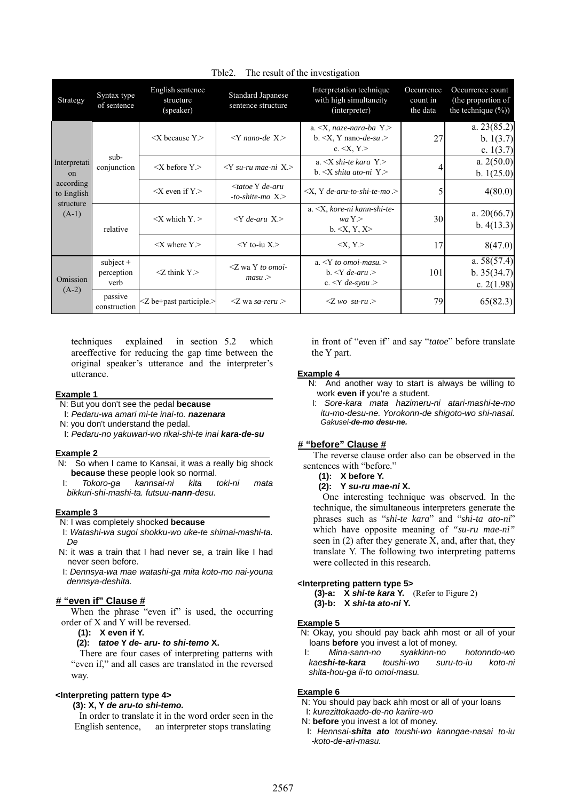| Strategy                                                              | Syntax type<br>of sentence        | English sentence<br>structure<br>(speaker) | <b>Standard Japanese</b><br>sentence structure       | Interpretation technique<br>with high simultaneity<br>(interpreter)                                            | Occurrence<br>count in<br>the data | Occurrence count<br>(the proportion of<br>the technique $(\%)$ |
|-----------------------------------------------------------------------|-----------------------------------|--------------------------------------------|------------------------------------------------------|----------------------------------------------------------------------------------------------------------------|------------------------------------|----------------------------------------------------------------|
| Interpretati<br>on<br>according<br>to English<br>structure<br>$(A-1)$ | sub-<br>conjunction               | $\langle X \rangle$ because Y.             | $\langle Y \rangle$ nano-de $X \rangle$              | a. $\langle X, naze-nara-ba \rangle Y$ .<br>b. $\langle X, Y \rangle$ nano-de-su $\langle Y \rangle$<br>c. $.$ | 27                                 | a. $23(85.2)$<br>b. 1(3.7)<br>c. $1(3.7)$                      |
|                                                                       |                                   | $\langle X \rangle$ before Y.              | $\langle Y \rangle$ su-ru mae-ni X. $>$              | a. $\langle X \rangle$ shi-te kara Y. $>$<br>b. $\langle X \rangle$ shita ato-ni $Y \rangle$                   |                                    | a. $2(50.0)$<br>b. $1(25.0)$                                   |
|                                                                       |                                   | $\langle X \rangle$ even if Y $>$          | <tatoe de-aru<br="" y="">-to-shite-mo X.&gt;</tatoe> | $\langle X, Y \rangle$ de-aru-to-shi-te-mo $\langle Y \rangle$                                                 |                                    | 4(80.0)                                                        |
|                                                                       | relative                          | $\langle X \rangle$ which $Y >$            | $\langle Y \rangle$ de-aru X.                        | $a. \leq X$ , kore-ni kann-shi-te-<br>waY ><br>$b. \le X, Y, X >$                                              | 30                                 | a. $20(66.7)$<br>b. $4(13.3)$                                  |
|                                                                       |                                   |                                            | $\langle X \rangle$ where Y $>$                      | $<$ Y to-iu X $>$                                                                                              | $\langle X, Y \rangle$             | 17                                                             |
| Omission<br>$(A-2)$                                                   | $subject +$<br>perception<br>verb | $Z$ think $Y$ >                            | $Z$ wa Y to omoi-<br>massu >                         | a. $\langle Y \rangle$ to omoi-masu. $>$<br>$b. \leq Y$ de-aru $>$<br>c. $\langle Y \text{ de-syou} \rangle$   | 101                                | a. $58(57.4)$<br>b.35(34.7)<br>c. $2(1.98)$                    |
|                                                                       | passive<br>construction           | $Z$ be+past participle. $>$                | $Z$ wa sa-reru $>$                                   | $Z$ wo su-ru $>$                                                                                               | 79                                 | 65(82.3)                                                       |

## Tble2. The result of the investigation

techniques explained in section 5.2 which areeffective for reducing the gap time between the original speaker's utterance and the interpreter's utterance.

#### **Example 1**

- N: But you don't see the pedal **because**
- I: *Pedaru-wa amari mi-te inai-to. nazenara*
- N: you don't understand the pedal.
- I: *Pedaru-no yakuwari-wo rikai-shi-te inai kara-de-su*

## **Example 2**

- N: So when I came to Kansai, it was a really big shock **because** these people look so normal.
- I: *Tokoro-ga kannsai-ni kita toki-ni mata bikkuri-shi-mashi-ta. futsuu-nann-desu.*

#### **Example 3**

- N: I was completely shocked **because**
- I: *Watashi-wa sugoi shokku-wo uke-te shimai-mashi-ta. De*
- N: it was a train that I had never se, a train like I had never seen before.
- I: *Dennsya-wa mae watashi-ga mita koto-mo nai-youna dennsya-deshita.*

# **# "even if" Clause #**

When the phrase "even if" is used, the occurring order of X and Y will be reversed.

**(1): X even if Y.** 

#### **(2):** *tatoe* **Y** *de- aru- to shi-temo* **X.**

There are four cases of interpreting patterns with "even if," and all cases are translated in the reversed way.

## **<Interpreting pattern type 4>**

## **(3): X, Y** *de aru-to shi-temo.*

In order to translate it in the word order seen in the English sentence, an interpreter stops translating

in front of "even if" and say "*tatoe*" before translate the Y part.

#### **Example 4**

- N: And another way to start is always be willing to work **even if** you're a student.
- I: *Sore-kara mata hazimeru-ni atari-mashi-te-mo itu-mo-desu-ne. Yorokonn-de shigoto-wo shi-nasai. Gakusei-de-mo desu-ne.*

## **# "before" Clause #**

The reverse clause order also can be observed in the sentences with "before."

# **(1): X before Y.**

# **(2): Y** *su-ru mae-ni* **X.**

One interesting technique was observed. In the technique, the simultaneous interpreters generate the phrases such as "*shi-te kara*" and "*shi-ta ato-ni*" which have opposite meaning of *"su-ru mae-ni"* seen in (2) after they generate X, and, after that, they translate Y. The following two interpreting patterns were collected in this research.

## **<Interpreting pattern type 5>**

**(3)-a: X** *shi-te kara* **Y.** (Refer to Figure 2) **(3)-b: X** *shi-ta ato-ni* **Y.** 

## **Example 5**

N: Okay, you should pay back ahh most or all of your loans **before** you invest a lot of money.

I: *Mina-sann-no syakkinn-no hotonndo-wo kaeshi-te-kara toushi-wo suru-to-iu koto-ni shita-hou-ga ii-to omoi-masu.* 

#### **Example 6**

- N: You should pay back ahh most or all of your loans
- I: *kurezittokaado-de-no kariire-wo*
- N: **before** you invest a lot of money.
- I: *Hennsai-shita ato toushi-wo kanngae-nasai to-iu -koto-de-ari-masu.*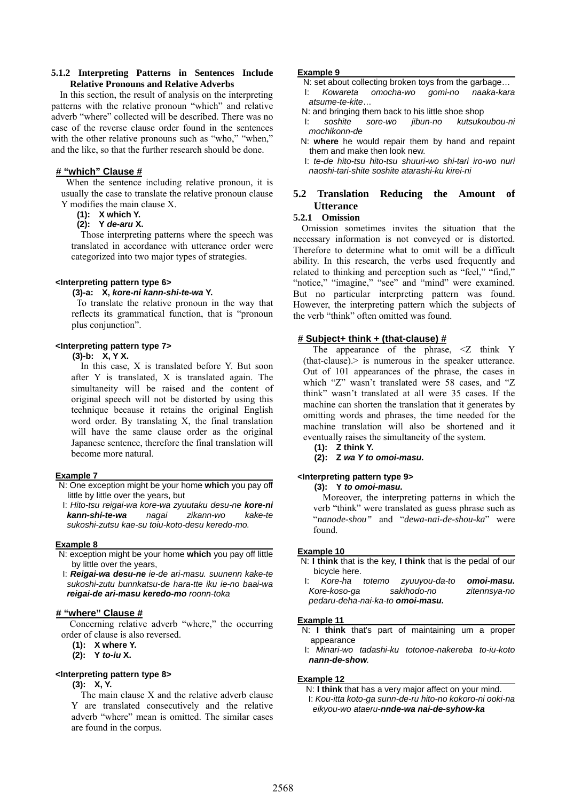## **5.1.2 Interpreting Patterns in Sentences Include Relative Pronouns and Relative Adverbs**

In this section, the result of analysis on the interpreting patterns with the relative pronoun "which" and relative adverb "where" collected will be described. There was no case of the reverse clause order found in the sentences with the other relative pronouns such as "who," "when," and the like, so that the further research should be done.

# **# "which" Clause #**

When the sentence including relative pronoun, it is usually the case to translate the relative pronoun clause Y modifies the main clause X.

**(1): X which Y.** 

## **(2): Y** *de-aru* **X.**

Those interpreting patterns where the speech was translated in accordance with utterance order were categorized into two major types of strategies.

#### **<Interpreting pattern type 6>**

#### **(3)-a: X,** *kore-ni kann-shi-te-wa* **Y.**

 To translate the relative pronoun in the way that reflects its grammatical function, that is "pronoun plus conjunction".

## **<Interpreting pattern type 7>**

# **(3)-b: X, Y X.**

In this case, X is translated before Y. But soon after Y is translated, X is translated again. The simultaneity will be raised and the content of original speech will not be distorted by using this technique because it retains the original English word order. By translating X, the final translation will have the same clause order as the original Japanese sentence, therefore the final translation will become more natural.

## **Example 7**

N: One exception might be your home **which** you pay off little by little over the years, but

I: *Hito-tsu reigai-wa kore-wa zyuutaku desu-ne kore-ni kann-shi-te-wa nagai zikann-wo kake-te sukoshi-zutsu kae-su toiu-koto-desu keredo-mo.* 

#### **Example 8**

- N: exception might be your home **which** you pay off little by little over the years,
- I: *Reigai-wa desu-ne ie-de ari-masu. suunenn kake-te sukoshi-zutu bunnkatsu-de hara-tte iku ie-no baai-wa reigai-de ari-masu keredo-mo roonn-toka*

# **# "where" Clause #**

Concerning relative adverb "where," the occurring order of clause is also reversed.

**(1): X where Y.**

 **(2): Y** *to-iu* **X.** 

## **<Interpreting pattern type 8>**

#### **(3): X, Y.**

The main clause X and the relative adverb clause Y are translated consecutively and the relative adverb "where" mean is omitted. The similar cases are found in the corpus.

#### **Example 9**

- N: set about collecting broken toys from the garbage… I: *Kowareta omocha-wo gomi-no naaka-kara atsume-te-kite*…
- N: and bringing them back to his little shoe shop
- I: *soshite sore-wo jibun-no kutsukoubou-ni mochikonn-de*
- N: **where** he would repair them by hand and repaint them and make then look new.

I: *te-de hito-tsu hito-tsu shuuri-wo shi-tari iro-wo nuri naoshi-tari-shite soshite atarashi-ku kirei-ni* 

# **5.2 Translation Reducing the Amount of Utterance**

# **5.2.1 Omission**

Omission sometimes invites the situation that the necessary information is not conveyed or is distorted. Therefore to determine what to omit will be a difficult ability. In this research, the verbs used frequently and related to thinking and perception such as "feel," "find," "notice," "imagine," "see" and "mind" were examined. But no particular interpreting pattern was found. However, the interpreting pattern which the subjects of the verb "think" often omitted was found.

# **# Subject+ think + (that-clause) #**

The appearance of the phrase,  $\leq Z$  think Y (that-clause).> is numerous in the speaker utterance. Out of 101 appearances of the phrase, the cases in which "Z" wasn't translated were 58 cases, and "Z think" wasn't translated at all were 35 cases. If the machine can shorten the translation that it generates by omitting words and phrases, the time needed for the machine translation will also be shortened and it eventually raises the simultaneity of the system.

**(1): Z think Y.** 

**(2): Z** *wa Y to omoi-masu.* 

# **<Interpreting pattern type 9>**

**(3): Y** *to omoi-masu.*

Moreover, the interpreting patterns in which the verb "think" were translated as guess phrase such as "*nanode-shou"* and "*dewa-nai-de-shou-ka*" were found.

#### **Example 10**

N: **I think** that is the key, **I think** that is the pedal of our bicycle here.

|                                  |  | l: Kore-ha totemo zyuuyou-da-to | omoi-masu.   |  |  |  |  |
|----------------------------------|--|---------------------------------|--------------|--|--|--|--|
| Kore-koso-ga                     |  | sakihodo-no                     | zitennsya-no |  |  |  |  |
| pedaru-deha-nai-ka-to omoi-masu. |  |                                 |              |  |  |  |  |

#### **Example 11**

N: **I think** that's part of maintaining um a proper appearance

I: *Minari-wo tadashi-ku totonoe-nakereba to-iu-koto nann-de-show.* 

#### **Example 12**

N: **I think** that has a very major affect on your mind. I: *Kou-itta koto-ga sunn-de-ru hito-no kokoro-ni ooki-na eikyou-wo ataeru-nnde-wa nai-de-syhow-ka*